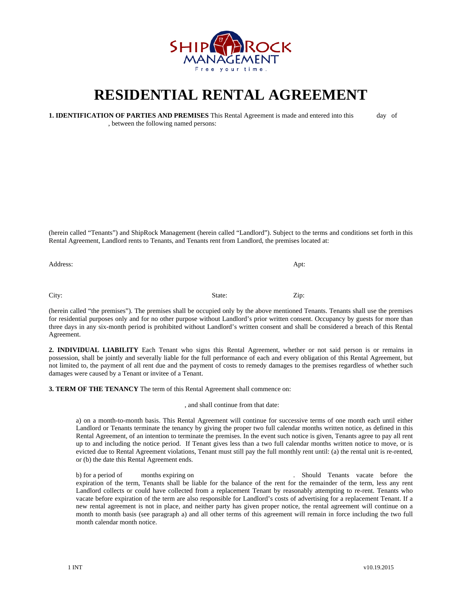

## **RESIDENTIAL RENTAL AGREEMENT**

**1. IDENTIFICATION OF PARTIES AND PREMISES** This Rental Agreement is made and entered into this day of , between the following named persons:

(herein called "Tenants") and ShipRock Management (herein called "Landlord"). Subject to the terms and conditions set forth in this Rental Agreement, Landlord rents to Tenants, and Tenants rent from Landlord, the premises located at:

Address: Application Application Application Application Application Application Application Application Application Application Application Application Application Application Application Application Application Applicati City: State: Zip: 2.1.

(herein called "the premises"). The premises shall be occupied only by the above mentioned Tenants. Tenants shall use the premises for residential purposes only and for no other purpose without Landlord's prior written consent. Occupancy by guests for more than three days in any six-month period is prohibited without Landlord's written consent and shall be considered a breach of this Rental Agreement.

**2. INDIVIDUAL LIABILITY** Each Tenant who signs this Rental Agreement, whether or not said person is or remains in possession, shall be jointly and severally liable for the full performance of each and every obligation of this Rental Agreement, but not limited to, the payment of all rent due and the payment of costs to remedy damages to the premises regardless of whether such damages were caused by a Tenant or invitee of a Tenant.

**3. TERM OF THE TENANCY** The term of this Rental Agreement shall commence on:

, and shall continue from that date:

a) on a month-to-month basis. This Rental Agreement will continue for successive terms of one month each until either Landlord or Tenants terminate the tenancy by giving the proper two full calendar months written notice, as defined in this Rental Agreement, of an intention to terminate the premises. In the event such notice is given, Tenants agree to pay all rent up to and including the notice period. If Tenant gives less than a two full calendar months written notice to move, or is evicted due to Rental Agreement violations, Tenant must still pay the full monthly rent until: (a) the rental unit is re-rented, or (b) the date this Rental Agreement ends.

b) for a period of months expiring on the set of the set of the set of the set of the set of the set of the set of the set of the set of the set of the set of the set of the set of the set of the set of the set of the set expiration of the term, Tenants shall be liable for the balance of the rent for the remainder of the term, less any rent Landlord collects or could have collected from a replacement Tenant by reasonably attempting to re-rent. Tenants who vacate before expiration of the term are also responsible for Landlord's costs of advertising for a replacement Tenant. If a new rental agreement is not in place, and neither party has given proper notice, the rental agreement will continue on a month to month basis (see paragraph a) and all other terms of this agreement will remain in force including the two full month calendar month notice.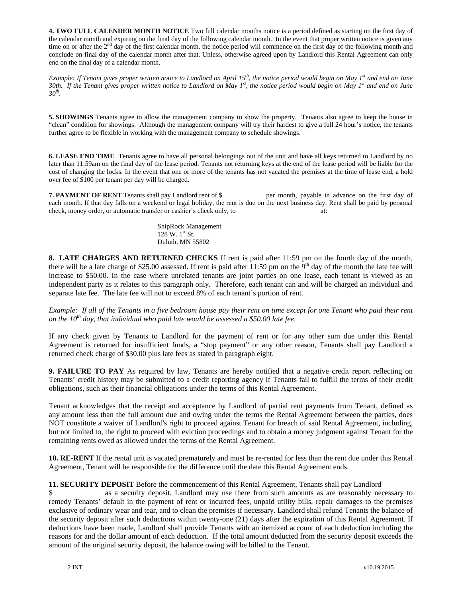**4. TWO FULL CALENDER MONTH NOTICE** Two full calendar months notice is a period defined as starting on the first day of the calendar month and expiring on the final day of the following calendar month. In the event that proper written notice is given any time on or after the 2<sup>nd</sup> day of the first calendar month, the notice period will commence on the first day of the following month and conclude on final day of the calendar month after that. Unless, otherwise agreed upon by Landlord this Rental Agreement can only end on the final day of a calendar month.

*Example: If Tenant gives proper written notice to Landlord on April 15<sup>th</sup>, the notice period would begin on May 1<sup>st</sup> and end on June 30th. If the Tenant gives proper written notice to Landlord on May 1st, the notice period would begin on May 1st and end on June 30th.* 

**5. SHOWINGS** Tenants agree to allow the management company to show the property. Tenants also agree to keep the house in "clean" condition for showings. Although the management company will try their hardest to give a full 24 hour's notice, the tenants further agree to be flexible in working with the management company to schedule showings.

**6. LEASE END TIME** Tenants agree to have all personal belongings out of the unit and have all keys returned to Landlord by no later than 11:59am on the final day of the lease period. Tenants not returning keys at the end of the lease period will be liable for the cost of changing the locks. In the event that one or more of the tenants has not vacated the premises at the time of lease end, a hold over fee of \$100 per tenant per day will be charged.

**7. PAYMENT OF RENT** Tenants shall pay Landlord rent of \$ per month, payable in advance on the first day of each month. If that day falls on a weekend or legal holiday, the rent is due on the next business day. Rent shall be paid by personal check, money order, or automatic transfer or cashier's check only, to at:

> ShipRock Management  $128$  W.  $1^{st}$  St. Duluth, MN 55802

**8. LATE CHARGES AND RETURNED CHECKS** If rent is paid after 11:59 pm on the fourth day of the month, there will be a late charge of \$25.00 assessed. If rent is paid after 11:59 pm on the 9<sup>th</sup> day of the month the late fee will increase to \$50.00. In the case where unrelated tenants are joint parties on one lease, each tenant is viewed as an independent party as it relates to this paragraph only. Therefore, each tenant can and will be charged an individual and separate late fee. The late fee will not to exceed 8% of each tenant's portion of rent.

*Example: If all of the Tenants in a five bedroom house pay their rent on time except for one Tenant who paid their rent on the 10th day, that individual who paid late would be assessed a \$50.00 late fee.* 

If any check given by Tenants to Landlord for the payment of rent or for any other sum due under this Rental Agreement is returned for insufficient funds, a "stop payment" or any other reason, Tenants shall pay Landlord a returned check charge of \$30.00 plus late fees as stated in paragraph eight.

**9. FAILURE TO PAY** As required by law, Tenants are hereby notified that a negative credit report reflecting on Tenants' credit history may be submitted to a credit reporting agency if Tenants fail to fulfill the terms of their credit obligations, such as their financial obligations under the terms of this Rental Agreement.

Tenant acknowledges that the receipt and acceptance by Landlord of partial rent payments from Tenant, defined as any amount less than the full amount due and owing under the terms the Rental Agreement between the parties, does NOT constitute a waiver of Landlord's right to proceed against Tenant for breach of said Rental Agreement, including, but not limited to, the right to proceed with eviction proceedings and to obtain a money judgment against Tenant for the remaining rents owed as allowed under the terms of the Rental Agreement.

**10. RE-RENT** If the rental unit is vacated prematurely and must be re-rented for less than the rent due under this Rental Agreement, Tenant will be responsible for the difference until the date this Rental Agreement ends.

**11. SECURITY DEPOSIT** Before the commencement of this Rental Agreement, Tenants shall pay Landlord

as a security deposit. Landlord may use there from such amounts as are reasonably necessary to remedy Tenants' default in the payment of rent or incurred fees, unpaid utility bills, repair damages to the premises exclusive of ordinary wear and tear, and to clean the premises if necessary. Landlord shall refund Tenants the balance of the security deposit after such deductions within twenty-one (21) days after the expiration of this Rental Agreement. If deductions have been made, Landlord shall provide Tenants with an itemized account of each deduction including the reasons for and the dollar amount of each deduction. If the total amount deducted from the security deposit exceeds the amount of the original security deposit, the balance owing will be billed to the Tenant.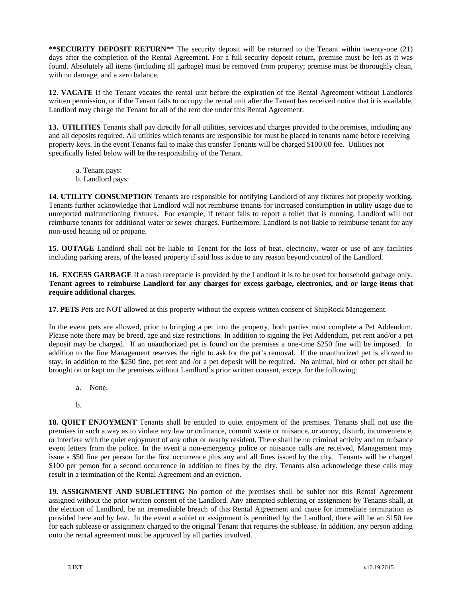**\*\*SECURITY DEPOSIT RETURN\*\*** The security deposit will be returned to the Tenant within twenty-one (21) days after the completion of the Rental Agreement. For a full security deposit return, premise must be left as it was found. Absolutely all items (including all garbage) must be removed from property; premise must be thoroughly clean, with no damage, and a zero balance.

**12. VACATE** If the Tenant vacates the rental unit before the expiration of the Rental Agreement without Landlords written permission, or if the Tenant fails to occupy the rental unit after the Tenant has received notice that it is available, Landlord may charge the Tenant for all of the rent due under this Rental Agreement.

**13. UTILITIES** Tenants shall pay directly for all utilities, services and charges provided to the premises, including any and all deposits required. All utilities which tenants are responsible for must be placed in tenants name before receiving property keys. In the event Tenants fail to make this transfer Tenants will be charged \$100.00 fee. Utilities not specifically listed below will be the responsibility of the Tenant.

- a. Tenant pays:
- b. Landlord pays:

**14. UTILITY CONSUMPTION** Tenants are responsible for notifying Landlord of any fixtures not properly working. Tenants further acknowledge that Landlord will not reimburse tenants for increased consumption in utility usage due to unreported malfunctioning fixtures. For example, if tenant fails to report a toilet that is running, Landlord will not reimburse tenants for additional water or sewer charges. Furthermore, Landlord is not liable to reimburse tenant for any non-used heating oil or propane.

**15. OUTAGE** Landlord shall not be liable to Tenant for the loss of heat, electricity, water or use of any facilities including parking areas, of the leased property if said loss is due to any reason beyond control of the Landlord.

**16. EXCESS GARBAGE** If a trash receptacle is provided by the Landlord it is to be used for household garbage only. **Tenant agrees to reimburse Landlord for any charges for excess garbage, electronics, and or large items that require additional charges.**

**17. PETS** Pets are NOT allowed at this property without the express written consent of ShipRock Management.

In the event pets are allowed, prior to bringing a pet into the property, both parties must complete a Pet Addendum. Please note there may be breed, age and size restrictions. In addition to signing the Pet Addendum, pet rent and/or a pet deposit may be charged. If an unauthorized pet is found on the premises a one-time \$250 fine will be imposed. In addition to the fine Management reserves the right to ask for the pet's removal. If the unauthorized pet is allowed to stay; in addition to the \$250 fine, pet rent and /or a pet deposit will be required. No animal, bird or other pet shall be brought on or kept on the premises without Landlord's prior written consent, except for the following:

- a. None.
- b.

**18. QUIET ENJOYMENT** Tenants shall be entitled to quiet enjoyment of the premises. Tenants shall not use the premises in such a way as to violate any law or ordinance, commit waste or nuisance, or annoy, disturb, inconvenience, or interfere with the quiet enjoyment of any other or nearby resident. There shall be no criminal activity and no nuisance event letters from the police. In the event a non-emergency police or nuisance calls are received, Management may issue a \$50 fine per person for the first occurrence plus any and all fines issued by the city. Tenants will be charged \$100 per person for a second occurrence in addition to fines by the city. Tenants also acknowledge these calls may result in a termination of the Rental Agreement and an eviction.

**19. ASSIGNMENT AND SUBLETTING** No portion of the premises shall be sublet nor this Rental Agreement assigned without the prior written consent of the Landlord. Any attempted subletting or assignment by Tenants shall, at the election of Landlord, be an irremediable breach of this Rental Agreement and cause for immediate termination as provided here and by law. In the event a sublet or assignment is permitted by the Landlord, there will be an \$150 fee for each sublease or assignment charged to the original Tenant that requires the sublease. In addition, any person adding onto the rental agreement must be approved by all parties involved.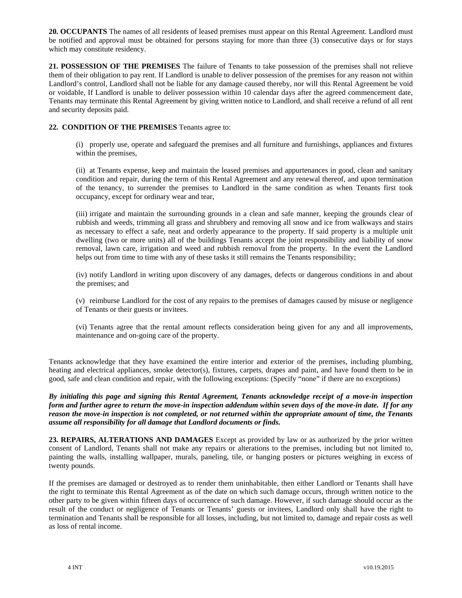**20. OCCUPANTS** The names of all residents of leased premises must appear on this Rental Agreement. Landlord must be notified and approval must be obtained for persons staying for more than three (3) consecutive days or for stays which may constitute residency.

**21. POSSESSION OF THE PREMISES** The failure of Tenants to take possession of the premises shall not relieve them of their obligation to pay rent. If Landlord is unable to deliver possession of the premises for any reason not within Landlord's control, Landlord shall not be liable for any damage caused thereby, nor will this Rental Agreement be void or voidable, If Landlord is unable to deliver possession within 10 calendar days after the agreed commencement date, Tenants may terminate this Rental Agreement by giving written notice to Landlord, and shall receive a refund of all rent and security deposits paid.

## **22. CONDITION OF THE PREMISES** Tenants agree to:

(i) properly use, operate and safeguard the premises and all furniture and furnishings, appliances and fixtures within the premises,

(ii) at Tenants expense, keep and maintain the leased premises and appurtenances in good, clean and sanitary condition and repair, during the term of this Rental Agreement and any renewal thereof, and upon termination of the tenancy, to surrender the premises to Landlord in the same condition as when Tenants first took occupancy, except for ordinary wear and tear,

(iii) irrigate and maintain the surrounding grounds in a clean and safe manner, keeping the grounds clear of rubbish and weeds, trimming all grass and shrubbery and removing all snow and ice from walkways and stairs as necessary to effect a safe, neat and orderly appearance to the property. If said property is a multiple unit dwelling (two or more units) all of the buildings Tenants accept the joint responsibility and liability of snow removal, lawn care, irrigation and weed and rubbish removal from the property. In the event the Landlord helps out from time to time with any of these tasks it still remains the Tenants responsibility;

(iv) notify Landlord in writing upon discovery of any damages, defects or dangerous conditions in and about the premises; and

(v) reimburse Landlord for the cost of any repairs to the premises of damages caused by misuse or negligence of Tenants or their guests or invitees.

(vi) Tenants agree that the rental amount reflects consideration being given for any and all improvements, maintenance and on-going care of the property.

Tenants acknowledge that they have examined the entire interior and exterior of the premises, including plumbing, heating and electrical appliances, smoke detector(s), fixtures, carpets, drapes and paint, and have found them to be in good, safe and clean condition and repair, with the following exceptions: (Specify "none" if there are no exceptions)

*By initialing this page and signing this Rental Agreement, Tenants acknowledge receipt of a move-in inspection form and further agree to return the move-in inspection addendum within seven days of the move-in date. If for any reason the move-in inspection is not completed, or not returned within the appropriate amount of time, the Tenants assume all responsibility for all damage that Landlord documents or finds.* 

**23. REPAIRS, ALTERATIONS AND DAMAGES** Except as provided by law or as authorized by the prior written consent of Landlord, Tenants shall not make any repairs or alterations to the premises, including but not limited to, painting the walls, installing wallpaper, murals, paneling, tile, or hanging posters or pictures weighing in excess of twenty pounds.

If the premises are damaged or destroyed as to render them uninhabitable, then either Landlord or Tenants shall have the right to terminate this Rental Agreement as of the date on which such damage occurs, through written notice to the other party to be given within fifteen days of occurrence of such damage. However, if such damage should occur as the result of the conduct or negligence of Tenants or Tenants' guests or invitees, Landlord only shall have the right to termination and Tenants shall be responsible for all losses, including, but not limited to, damage and repair costs as well as loss of rental income.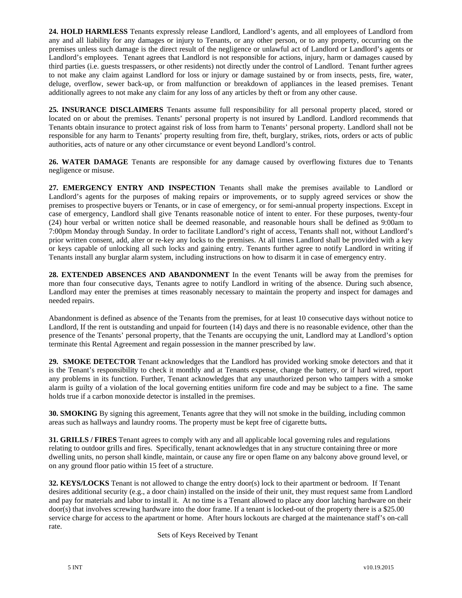**24. HOLD HARMLESS** Tenants expressly release Landlord, Landlord's agents, and all employees of Landlord from any and all liability for any damages or injury to Tenants, or any other person, or to any property, occurring on the premises unless such damage is the direct result of the negligence or unlawful act of Landlord or Landlord's agents or Landlord's employees. Tenant agrees that Landlord is not responsible for actions, injury, harm or damages caused by third parties (i.e. guests trespassers, or other residents) not directly under the control of Landlord. Tenant further agrees to not make any claim against Landlord for loss or injury or damage sustained by or from insects, pests, fire, water, deluge, overflow, sewer back-up, or from malfunction or breakdown of appliances in the leased premises. Tenant additionally agrees to not make any claim for any loss of any articles by theft or from any other cause.

**25. INSURANCE DISCLAIMERS** Tenants assume full responsibility for all personal property placed, stored or located on or about the premises. Tenants' personal property is not insured by Landlord. Landlord recommends that Tenants obtain insurance to protect against risk of loss from harm to Tenants' personal property. Landlord shall not be responsible for any harm to Tenants' property resulting from fire, theft, burglary, strikes, riots, orders or acts of public authorities, acts of nature or any other circumstance or event beyond Landlord's control.

**26. WATER DAMAGE** Tenants are responsible for any damage caused by overflowing fixtures due to Tenants negligence or misuse.

**27. EMERGENCY ENTRY AND INSPECTION** Tenants shall make the premises available to Landlord or Landlord's agents for the purposes of making repairs or improvements, or to supply agreed services or show the premises to prospective buyers or Tenants, or in case of emergency, or for semi-annual property inspections. Except in case of emergency, Landlord shall give Tenants reasonable notice of intent to enter. For these purposes, twenty-four (24) hour verbal or written notice shall be deemed reasonable, and reasonable hours shall be defined as 9:00am to 7:00pm Monday through Sunday. In order to facilitate Landlord's right of access, Tenants shall not, without Landlord's prior written consent, add, alter or re-key any locks to the premises. At all times Landlord shall be provided with a key or keys capable of unlocking all such locks and gaining entry. Tenants further agree to notify Landlord in writing if Tenants install any burglar alarm system, including instructions on how to disarm it in case of emergency entry.

**28. EXTENDED ABSENCES AND ABANDONMENT** In the event Tenants will be away from the premises for more than four consecutive days, Tenants agree to notify Landlord in writing of the absence. During such absence, Landlord may enter the premises at times reasonably necessary to maintain the property and inspect for damages and needed repairs.

Abandonment is defined as absence of the Tenants from the premises, for at least 10 consecutive days without notice to Landlord, If the rent is outstanding and unpaid for fourteen (14) days and there is no reasonable evidence, other than the presence of the Tenants' personal property, that the Tenants are occupying the unit, Landlord may at Landlord's option terminate this Rental Agreement and regain possession in the manner prescribed by law.

**29. SMOKE DETECTOR** Tenant acknowledges that the Landlord has provided working smoke detectors and that it is the Tenant's responsibility to check it monthly and at Tenants expense, change the battery, or if hard wired, report any problems in its function. Further, Tenant acknowledges that any unauthorized person who tampers with a smoke alarm is guilty of a violation of the local governing entities uniform fire code and may be subject to a fine. The same holds true if a carbon monoxide detector is installed in the premises.

**30. SMOKING** By signing this agreement, Tenants agree that they will not smoke in the building, including common areas such as hallways and laundry rooms. The property must be kept free of cigarette butts**.** 

**31. GRILLS / FIRES** Tenant agrees to comply with any and all applicable local governing rules and regulations relating to outdoor grills and fires. Specifically, tenant acknowledges that in any structure containing three or more dwelling units, no person shall kindle, maintain, or cause any fire or open flame on any balcony above ground level, or on any ground floor patio within 15 feet of a structure.

**32. KEYS/LOCKS** Tenant is not allowed to change the entry door(s) lock to their apartment or bedroom. If Tenant desires additional security (e.g., a door chain) installed on the inside of their unit, they must request same from Landlord and pay for materials and labor to install it. At no time is a Tenant allowed to place any door latching hardware on their door(s) that involves screwing hardware into the door frame. If a tenant is locked-out of the property there is a \$25.00 service charge for access to the apartment or home. After hours lockouts are charged at the maintenance staff's on-call rate.

Sets of Keys Received by Tenant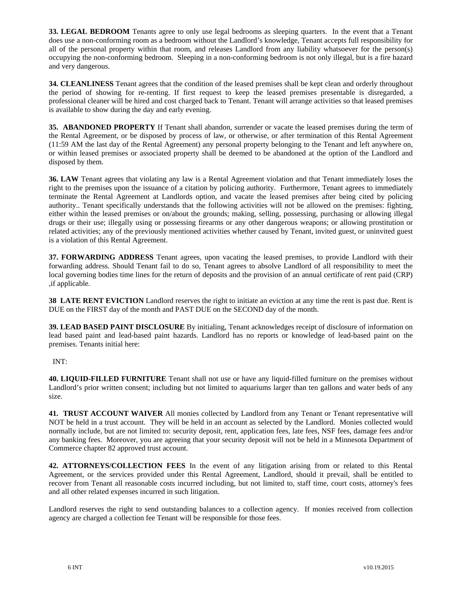**33. LEGAL BEDROOM** Tenants agree to only use legal bedrooms as sleeping quarters. In the event that a Tenant does use a non-conforming room as a bedroom without the Landlord's knowledge, Tenant accepts full responsibility for all of the personal property within that room, and releases Landlord from any liability whatsoever for the person(s) occupying the non-conforming bedroom. Sleeping in a non-conforming bedroom is not only illegal, but is a fire hazard and very dangerous.

**34. CLEANLINESS** Tenant agrees that the condition of the leased premises shall be kept clean and orderly throughout the period of showing for re-renting. If first request to keep the leased premises presentable is disregarded, a professional cleaner will be hired and cost charged back to Tenant. Tenant will arrange activities so that leased premises is available to show during the day and early evening.

**35. ABANDONED PROPERTY** If Tenant shall abandon, surrender or vacate the leased premises during the term of the Rental Agreement, or be disposed by process of law, or otherwise, or after termination of this Rental Agreement (11:59 AM the last day of the Rental Agreement) any personal property belonging to the Tenant and left anywhere on, or within leased premises or associated property shall be deemed to be abandoned at the option of the Landlord and disposed by them.

**36. LAW** Tenant agrees that violating any law is a Rental Agreement violation and that Tenant immediately loses the right to the premises upon the issuance of a citation by policing authority. Furthermore, Tenant agrees to immediately terminate the Rental Agreement at Landlords option, and vacate the leased premises after being cited by policing authority.. Tenant specifically understands that the following activities will not be allowed on the premises: fighting, either within the leased premises or on/about the grounds; making, selling, possessing, purchasing or allowing illegal drugs or their use; illegally using or possessing firearms or any other dangerous weapons; or allowing prostitution or related activities; any of the previously mentioned activities whether caused by Tenant, invited guest, or uninvited guest is a violation of this Rental Agreement.

**37. FORWARDING ADDRESS** Tenant agrees, upon vacating the leased premises, to provide Landlord with their forwarding address. Should Tenant fail to do so, Tenant agrees to absolve Landlord of all responsibility to meet the local governing bodies time lines for the return of deposits and the provision of an annual certificate of rent paid (CRP) ,if applicable.

**38 LATE RENT EVICTION** Landlord reserves the right to initiate an eviction at any time the rent is past due. Rent is DUE on the FIRST day of the month and PAST DUE on the SECOND day of the month.

**39. LEAD BASED PAINT DISCLOSURE** By initialing, Tenant acknowledges receipt of disclosure of information on lead based paint and lead-based paint hazards. Landlord has no reports or knowledge of lead-based paint on the premises. Tenants initial here:

## INT:

**40. LIQUID-FILLED FURNITURE** Tenant shall not use or have any liquid-filled furniture on the premises without Landlord's prior written consent; including but not limited to aquariums larger than ten gallons and water beds of any size.

**41. TRUST ACCOUNT WAIVER** All monies collected by Landlord from any Tenant or Tenant representative will NOT be held in a trust account. They will be held in an account as selected by the Landlord. Monies collected would normally include, but are not limited to: security deposit, rent, application fees, late fees, NSF fees, damage fees and/or any banking fees. Moreover, you are agreeing that your security deposit will not be held in a Minnesota Department of Commerce chapter 82 approved trust account.

**42. ATTORNEYS/COLLECTION FEES** In the event of any litigation arising from or related to this Rental Agreement, or the services provided under this Rental Agreement, Landlord, should it prevail, shall be entitled to recover from Tenant all reasonable costs incurred including, but not limited to, staff time, court costs, attorney's fees and all other related expenses incurred in such litigation.

Landlord reserves the right to send outstanding balances to a collection agency. If monies received from collection agency are charged a collection fee Tenant will be responsible for those fees.